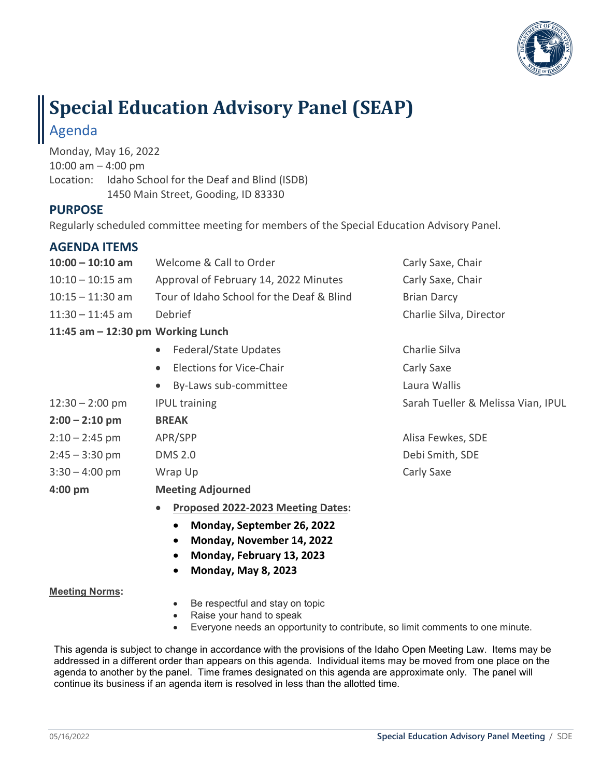

# **Special Education Advisory Panel (SEAP)** Agenda

Monday, May 16, 2022 10:00 am – 4:00 pm Location: Idaho School for the Deaf and Blind (ISDB) 1450 Main Street, Gooding, ID 83330

### **PURPOSE**

Regularly scheduled committee meeting for members of the Special Education Advisory Panel.

### **AGENDA ITEMS**

| $10:00 - 10:10$ am                  | Welcome & Call to Order                      | Carly Saxe, Chair                  |
|-------------------------------------|----------------------------------------------|------------------------------------|
| $10:10 - 10:15$ am                  | Approval of February 14, 2022 Minutes        | Carly Saxe, Chair                  |
| $10:15 - 11:30$ am                  | Tour of Idaho School for the Deaf & Blind    | <b>Brian Darcy</b>                 |
| $11:30 - 11:45$ am                  | Debrief                                      | Charlie Silva, Director            |
| 11:45 am $-$ 12:30 pm Working Lunch |                                              |                                    |
|                                     | Federal/State Updates<br>$\bullet$           | Charlie Silva                      |
|                                     | <b>Elections for Vice-Chair</b><br>$\bullet$ | Carly Saxe                         |
|                                     | By-Laws sub-committee<br>$\bullet$           | Laura Wallis                       |
| $12:30 - 2:00$ pm                   | <b>IPUL training</b>                         | Sarah Tueller & Melissa Vian, IPUL |
| $2:00 - 2:10$ pm                    | <b>BREAK</b>                                 |                                    |
| $2:10 - 2:45$ pm                    | APR/SPP                                      | Alisa Fewkes, SDE                  |
| $2:45 - 3:30$ pm                    | <b>DMS 2.0</b>                               | Debi Smith, SDE                    |
| $3:30 - 4:00$ pm                    | Wrap Up                                      | Carly Saxe                         |
| $4:00$ pm                           | <b>Meeting Adjourned</b>                     |                                    |
|                                     | Proposed 2022-2023 Meeting Dates:            |                                    |

- **Monday, September 26, 2022**
- **Monday, November 14, 2022**
- **Monday, February 13, 2023**
- **Monday, May 8, 2023**

#### **Meeting Norms:**

- Be respectful and stay on topic
- Raise your hand to speak
- Everyone needs an opportunity to contribute, so limit comments to one minute.

This agenda is subject to change in accordance with the provisions of the Idaho Open Meeting Law. Items may be addressed in a different order than appears on this agenda. Individual items may be moved from one place on the agenda to another by the panel. Time frames designated on this agenda are approximate only. The panel will continue its business if an agenda item is resolved in less than the allotted time.